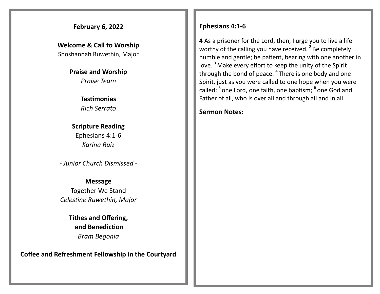### **February 6, 2022**

**Welcome & Call to Worship**  Shoshannah Ruwethin, Major

> **Praise and Worship** *Praise Team*

> > **Testimonies** *Rich Serrato*

**Scripture Reading** Ephesians 4:1-6 *Karina Ruiz*

*- Junior Church Dismissed -*

**Message** Together We Stand *Celestine Ruwethin, Major*

> **Tithes and Offering, and Benediction** *Bram Begonia*

**Coffee and Refreshment Fellowship in the Courtyard**

### **Ephesians 4:1-6**

**4** As a prisoner for the Lord, then, I urge you to live a life worthy of the calling you have received.  $2$  Be completely humble and gentle; be patient, bearing with one another in love.<sup>3</sup> Make every effort to keep the unity of the Spirit through the bond of peace. <sup>4</sup> There is one body and one Spirit, just as you were called to one hope when you were called; <sup>5</sup> one Lord, one faith, one baptism; <sup>6</sup> one God and Father of all, who is over all and through all and in all.

**Sermon Notes:**